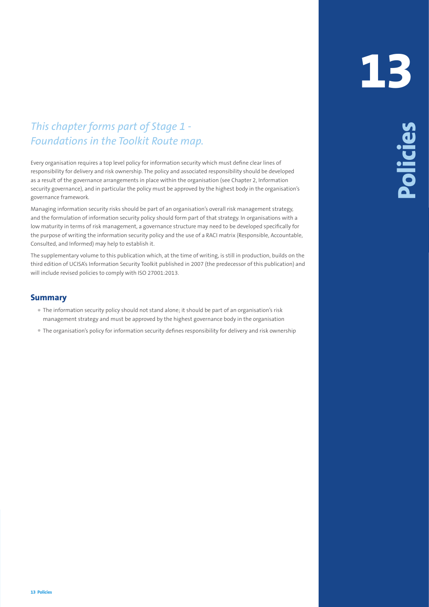## *This chapter forms part of Stage 1 - Foundations in the Toolkit Route map.*

Every organisation requires a top level policy for information security which must define clear lines of responsibility for delivery and risk ownership. The policy and associated responsibility should be developed as a result of the governance arrangements in place within the organisation (see Chapter 2, Information security governance), and in particular the policy must be approved by the highest body in the organisation's governance framework.

This change of points part of 5 Folioge 11.<br> **13** Policies provides the second product the state of the state of the state of the state of the state of the state of the state of the state of the state of the state of the s Managing information security risks should be part of an organisation's overall risk management strategy, and the formulation of information security policy should form part of that strategy. In organisations with a low maturity in terms of risk management, a governance structure may need to be developed specifically for the purpose of writing the information security policy and the use of a RACI matrix (Responsible, Accountable, Consulted, and Informed) may help to establish it.

The supplementary volume to this publication which, at the time of writing, is still in production, builds on the third edition of UCISA's Information Security Toolkit published in 2007 (the predecessor of this publication) and will include revised policies to comply with ISO 27001:2013.

## **Summary**

- The information security policy should not stand alone; it should be part of an organisation's risk management strategy and must be approved by the highest governance body in the organisation
- The organisation's policy for information security defines responsibility for delivery and risk ownership

## **13**